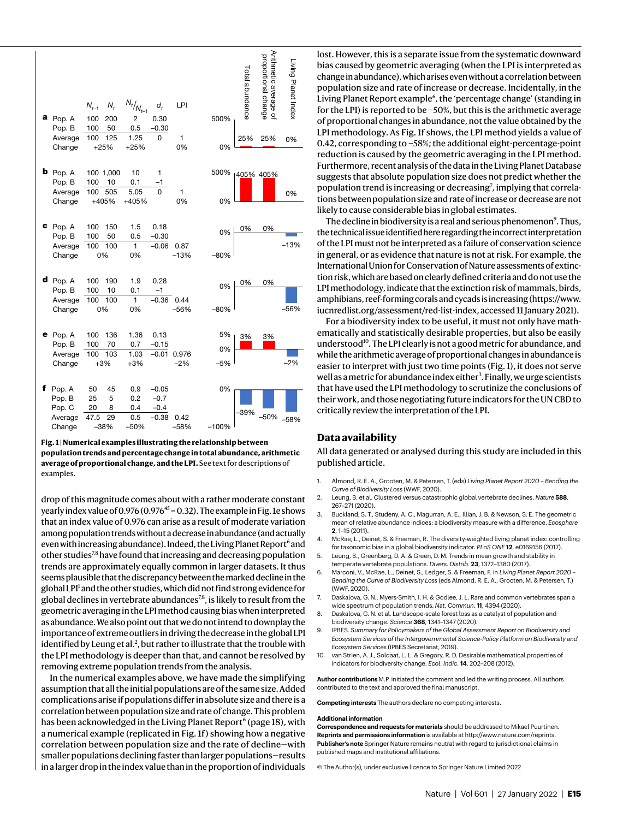

**Fig. 1 | Numerical examples illustrating the relationship between population trends and percentage change in total abundance, arithmetic average of proportional change, and the LPI.** See text for descriptions of examples.

drop of this magnitude comes about with a rather moderate constant yearly index value of  $0.976 (0.976^{45} = 0.32)$ . The example in Fig. 1e shows that an index value of 0.976 can arise as a result of moderate variation among population trends without a decrease in abundance (and actually even with increasing abundance). Indeed, the Living Planet Report<sup>6</sup> and other studies<sup>7,8</sup> have found that increasing and decreasing population trends are approximately equally common in larger datasets. It thus seems plausible that the discrepancy between the marked decline in the global LPI<sup>1</sup> and the other studies, which did not find strong evidence for global declines in vertebrate abundances<sup>7,8</sup>, is likely to result from the geometric averaging in the LPI method causing bias when interpreted as abundance. We also point out that we do not intend to downplay the importance of extreme outliers in driving the decrease in the global LPI identified by Leung et al.<sup>2</sup>, but rather to illustrate that the trouble with the LPI methodology is deeper than that, and cannot be resolved by removing extreme population trends from the analysis.

In the numerical examples above, we have made the simplifying assumption that all the initial populations are of the same size. Added complications arise if populations differ in absolute size and there is a correlation between population size and rate of change. This problem has been acknowledged in the Living Planet Report<sup>6</sup> (page 18), with a numerical example (replicated in Fig. 1f) showing how a negative correlation between population size and the rate of decline—with smaller populations declining faster than larger populations—results in a larger drop in the index value than in the proportion of individuals lost. However, this is a separate issue from the systematic downward bias caused by geometric averaging (when the LPI is interpreted as change in abundance), which arises even without a correlation between population size and rate of increase or decrease. Incidentally, in the Living Planet Report example<sup>6</sup>, the 'percentage change' (standing in for the LPI) is reported to be −50%, but this is the arithmetic average of proportional changes in abundance, not the value obtained by the LPI methodology. As Fig. 1f shows, the LPI method yields a value of 0.42, corresponding to −58%; the additional eight-percentage-point reduction is caused by the geometric averaging in the LPI method. Furthermore, recent analysis of the data in the Living Planet Database suggests that absolute population size does not predict whether the population trend is increasing or decreasing<sup>7</sup>, implying that correlations between population size and rate of increase or decrease are not likely to cause considerable bias in global estimates.

The decline in biodiversity is a real and serious phenomenon<sup>9</sup>. Thus, the technical issue identified here regarding the incorrect interpretation of the LPI must not be interpreted as a failure of conservation science in general, or as evidence that nature is not at risk. For example, the International Union for Conservation of Nature assessments of extinction risk, which are based on clearly defined criteria and do not use the LPI methodology, indicate that the extinction risk of mammals, birds, amphibians, reef-forming corals and cycads is increasing (https://www. iucnredlist.org/assessment/red-list-index, accessed 11 January 2021).

For a biodiversity index to be useful, it must not only have mathematically and statistically desirable properties, but also be easily understood<sup>10</sup>. The LPI clearly is not a good metric for abundance, and while the arithmetic average of proportional changes in abundance is easier to interpret with just two time points (Fig. 1), it does not serve well as a metric for abundance index either<sup>3</sup>. Finally, we urge scientists that have used the LPI methodology to scrutinize the conclusions of their work, and those negotiating future indicators for the UN CBD to critically review the interpretation of the LPI.

## **Data availability**

All data generated or analysed during this study are included in this published article.

- 1. Almond, R. E. A., Grooten, M. & Petersen, T. (eds) *Living Planet Report 2020 Bending the Curve of Biodiversity Loss* (WWF, 2020).
- 2. Leung, B. et al. Clustered versus catastrophic global vertebrate declines. *Nature* **588**, 267–271 (2020).
- 3. Buckland, S. T., Studeny, A. C., Magurran, A. E., Illian, J. B. & Newson, S. E. The geometric mean of relative abundance indices: a biodiversity measure with a difference. *Ecosphere* **2**, 1–15 (2011).
- 4. McRae, L., Deinet, S. & Freeman, R. The diversity-weighted living planet index: controlling for taxonomic bias in a global biodiversity indicator. *PLoS ONE* **12**, e0169156 (2017).
- 5. Leung, B., Greenberg, D. A. & Green, D. M. Trends in mean growth and stability in temperate vertebrate populations. *Divers. Distrib.* **23**, 1372–1380 (2017).
- 6. Marconi, V., McRae, L., Deinet, S., Ledger, S. & Freeman, F. in *Living Planet Report 2020 Bending the Curve of Biodiversity Loss* (eds Almond, R. E. A., Grooten, M. & Petersen, T.) (WWF, 2020).
- 7. Daskalova, G. N., Myers-Smith, I. H. & Godlee, J. L. Rare and common vertebrates span a wide spectrum of population trends. *Nat. Commun.* **11**, 4394 (2020).
- Daskalova, G. N. et al. Landscape-scale forest loss as a catalyst of population and biodiversity change. *Science* **368**, 1341–1347 (2020).
- 9. IPBES. *Summary for Policymakers of the Global Assessment Report on Biodiversity and Ecosystem Services of the Intergovernmental Science-Policy Platform on Biodiversity and Ecosystem Services* (IPBES Secretariat, 2019).
- 10. van Strien, A. J., Soldaat, L. L. & Gregory, R. D. Desirable mathematical properties of indicators for biodiversity change. *Ecol. Indic.* **14**, 202–208 (2012).

**Author contributions** M.P. initiated the comment and led the writing process. All authors contributed to the text and approved the final manuscript.

**Competing interests** The authors declare no competing interests.

### **Additional information**

**Correspondence and requests for materials** should be addressed to Mikael Puurtinen. **Reprints and permissions information** is available at<http://www.nature.com/reprints>. **Publisher's note** Springer Nature remains neutral with regard to jurisdictional claims in published maps and institutional affiliations.

© The Author(s), under exclusive licence to Springer Nature Limited 2022